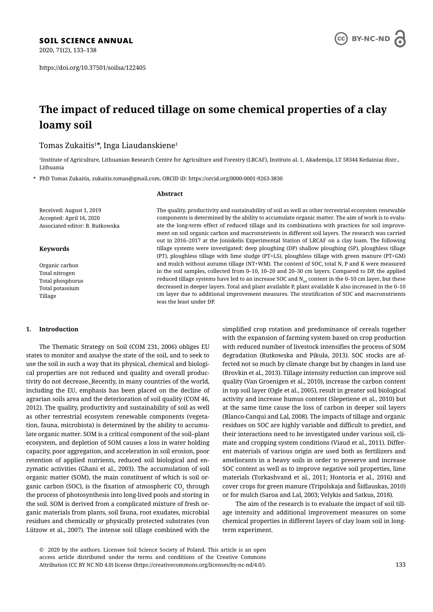2020, 71(2), 133–138

https://doi.org/10.37501/soilsa/122405

# **The impact of reduced tillage on some chemical properties of a clay loamy soil**

# Tomas Zukaitis $^{1\text{*}}$ , Inga Liaudanskiene $^{1}$

1 Institute of Agriculture, Lithuanian Research Centre for Agriculture and Forestry (LRCAF), Instituto al. 1, Akademija, LT 58344 Kedainiai distr., Lithuania

\* PhD Tomas Zukaitis, zukaitis.tomas@gmail.com, ORCID iD: https://orcid.org/0000-0001-9263-3830

### **Abstract**

Received: August 1, 2019 Accepted: April 16, 2020 Associated editor: B. Rutkowska

### **Keywords**

Organic carbon Total nitrogen Total phosphorus Total potassium Tillage

# **1. Introduction**

The Thematic Strategy on Soil (COM 231, 2006) obliges EU states to monitor and analyse the state of the soil, and to seek to use the soil in such a way that its physical, chemical and biological properties are not reduced and quality and overall productivity do not decrease. Recently, in many countries of the world, including the EU, emphasis has been placed on the decline of agrarian soils area and the deterioration of soil quality (COM 46, 2012). The quality, productivity and sustainability of soil as well as other terrestrial ecosystem renewable components (vegetation, fauna, microbiota) is determined by the ability to accumulate organic matter. SOM is a critical component of the soil–plant ecosystem, and depletion of SOM causes a loss in water holding capacity, poor aggregation, and acceleration in soil erosion, poor retention of applied nutrients, reduced soil biological and enzymatic activities (Ghani et al., 2003). The accumulation of soil organic matter (SOM), the main constituent of which is soil organic carbon (SOC), is the fixation of atmospheric CO $_2$  through the process of photosynthesis into long-lived pools and storing in the soil. SOM is derived from a complicated mixture of fresh organic materials from plants, soil fauna, root exudates, microbial residues and chemically or physically protected substrates (von Lützow et al., 2007). The intense soil tillage combined with the

simplified crop rotation and predominance of cereals together with the expansion of farming system based on crop production with reduced number of livestock intensifies the process of SOM degradation (Rutkowska and Pikuła, 2013). SOC stocks are affected not so much by climate change but by changes in land use (Brovkin et al., 2013). Tillage intensity reduction can improve soil quality (Van Groenigen et al., 2010), increase the carbon content in top soil layer (Ogle et al., 2005), result in greater soil biological activity and increase humus content (Slepetiene et al., 2010) but at the same time cause the loss of carbon in deeper soil layers (Blanco-Canqui and Lal, 2008). The impacts of tillage and organic residues on SOC are highly variable and difficult to predict, and their interactions need to be investigated under various soil, climate and cropping system conditions (Viaud et al., 2011). Different materials of various origin are used both as fertilizers and ameliorants in a heavy soils in order to preserve and increase SOC content as well as to improve negative soil properties, lime materials (Torkashvand et al., 2011; Hontoria et al., 2016) and cover crops for green manure (Tripolskaja and Šidlauskas, 2010) or for mulch (Saroa and Lal, 2003; Velykis and Satkus, 2018).

The aim of the research is to evaluate the impact of soil tillage intensity and additional improvement measures on some chemical properties in different layers of clay loam soil in longterm experiment.

© 2020 by the authors. Licensee Soil Science Society of Poland. This article is an open access article distributed under the terms and conditions of the Creative Commons Attribution (CC BY NC ND 4.0) license (https://creativecommons.org/licenses/by-nc-nd/4.0/).



# The quality, productivity and sustainability of soil as well as other terrestrial ecosystem renewable components is determined by the ability to accumulate organic matter. The aim of work is to evaluate the long-term effect of reduced tillage and its combinations with practices for soil improvement on soil organic carbon and macronutrients in different soil layers. The research was carried out in 2016–2017 at the Joniskelis Experimental Station of LRCAF on a clay loam. The following tillage systems were investigated: deep ploughing (DP) shallow ploughing (SP), ploughless tillage (PT), ploughless tillage with lime sludge (PT+LS), ploughless tillage with green manure (PT+GM) and mulch without autumn tillage (NT+WM). The content of SOC, total N, P and K were measured in the soil samples, collected from 0–10, 10–20 and 20–30 cm layers. Compared to DP, the applied reduced tillage systems have led to an increase SOC and  $N_{tot}$  content in the 0–10 cm layer, but these decreased in deeper layers. Total and plant available P, plant available K also increased in the 0–10 cm layer due to additional improvement measures. The stratification of SOC and macronutrients was the least under DP.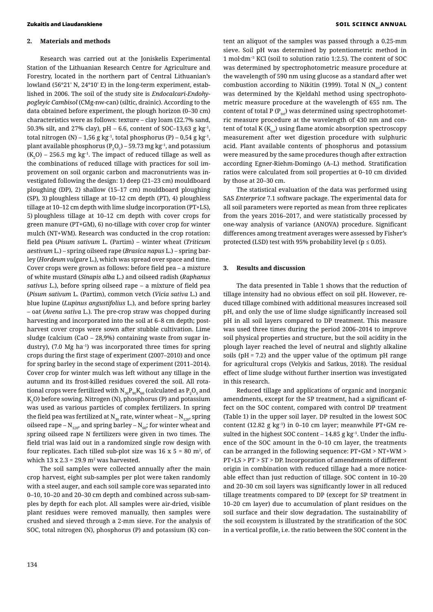# **2. Materials and methods**

Research was carried out at the Joniskelis Experimental Station of the Lithuanian Research Centre for Agriculture and Forestry, located in the northern part of Central Lithuanian's lowland (56°21′ N, 24°10′ E) in the long-term experiment, established in 2006. The soil of the study site is *Endocalcari-Endohypogleyic Cambisol* (CMg-nw-can) (siltic, drainic). According to the data obtained before experiment, the plough horizon (0–30 cm) characteristics were as follows: texture – clay loam (22.7% sand, 50.3% silt, and 27% clay), pH – 6.6, content of SOC–13,63 g kg-1, total nitrogen (N) – 1,56 g kg<sup>-1</sup>, total phosphorus (P) – 0,54 g kg<sup>-1</sup>, plant available phosphorus (P<sub>2</sub>O<sub>5</sub>) – 59.73 mg kg<sup>-1</sup>, and potassium  $(\rm K_{_2}O)$  – 256.5 mg kg<sup>-1</sup>. The impact of reduced tillage as well as the combinations of reduced tillage with practices for soil improvement on soil organic carbon and macronutrients was investigated following the design: 1) deep (21–23 cm) mouldboard ploughing (DP), 2) shallow (15–17 cm) mouldboard ploughing (SP), 3) ploughless tillage at 10–12 cm depth (PT), 4) ploughless tillage at 10–12 cm depth with lime sludge incorporation (PT+LS), 5) ploughless tillage at 10–12 cm depth with cover crops for green manure (PT+GM), 6) no-tillage with cover crop for winter mulch (NT+WM). Research was conducted in the crop rotation: field pea (*Pisum sativum* L. (Partim) – winter wheat (*Triticum aestivum* L.) – spring oilseed rape (*Brasica napus* L.) – spring barley (*Hordeum vulgare* L.), which was spread over space and time. Cover crops were grown as follows: before field pea – a mixture of white mustard (*Sinapis alba* L.) and oilseed radish (*Raphanus sativus* L.), before spring oilseed rape – a mixture of field pea (*Pisum sativum* L. (Partim), common vetch (*Vicia sativa* L.) and blue lupine (*Lupinus angustifolius* L.), and before spring barley – oat (*Avena sativa* L.). The pre-crop straw was chopped during harvesting and incorporated into the soil at 6–8 cm depth; postharvest cover crops were sown after stubble cultivation. Lime sludge (calcium (CaO – 28,9%) containing waste from sugar industry),  $(7.0 \text{ Mg} \text{ ha}^{-1})$  was incorporated three times for spring crops during the first stage of experiment (2007–2010) and once for spring barley in the second stage of experiment (2011–2014). Cover crop for winter mulch was left without any tillage in the autumn and its frost-killed residues covered the soil. All rotational crops were fertilized with  $\rm N_{30}P_{90}K_{60}$  (calculated as  $\rm P_2O_5$  and  $\mathrm{K}_2\mathrm{O}$ ) before sowing. Nitrogen (N), phosphorus (P) and potassium was used as various particles of complex fertilizers. In spring the field pea was fertilized at  $N_{30}$  rate, winter wheat –  $N_{120}$ , spring oilseed rape –  $N_{120}$ , and spring barley –  $N_{60}$ ; for winter wheat and spring oilseed rape N fertilizers were given in two times. The field trial was laid out in a randomized single row design with four replicates. Each tilled sub-plot size was 16 x 5 = 80  $\mathrm{m}^2$ , of which 13 x 2.3 = 29.9  $\mathrm{m}^2$  was harvested.

The soil samples were collected annually after the main crop harvest, eight sub-samples per plot were taken randomly with a steel auger, and each soil sample core was separated into 0–10, 10–20 and 20–30 cm depth and combined across sub-samples by depth for each plot. All samples were air-dried, visible plant residues were removed manually, then samples were crushed and sieved through a 2-mm sieve. For the analysis of SOC, total nitrogen (N), phosphorus (P) and potassium (K) con-

tent an aliquot of the samples was passed through a 0.25-mm sieve. Soil pH was determined by potentiometric method in 1 mol·dm–3 KCl (soil to solution ratio 1:2.5). The content of SOC was determined by spectrophotometric measure procedure at the wavelength of 590 nm using glucose as a standard after wet combustion according to Nikitin (1999). Total N  $(N_{tot})$  content was determined by the Kjeldahl method using spectrophotometric measure procedure at the wavelength of 655 nm. The content of total P ( $P_{tot}$ ) was determined using spectrophotometric measure procedure at the wavelength of 430 nm and content of total  $K(K_{n})$  using flame atomic absorption spectroscopy measurement after wet digestion procedure with sulphuric acid. Plant available contents of phosphorus and potassium were measured by the same procedures though after extraction according Egner-Riehm-Domingo (A–L) method. Stratification ratios were calculated from soil properties at 0–10 cm divided by those at 20–30 cm.

The statistical evaluation of the data was performed using SAS *Enterprice* 7.1 software package. The experimental data for all soil parameters were reported as mean from three replicates from the years 2016–2017, and were statistically processed by one-way analysis of variance (ANOVA) procedure. Significant differences among treatment averages were assessed by Fisher's protected (LSD) test with 95% probability level ( $p \le 0.05$ ).

### **3. Results and discussion**

The data presented in Table 1 shows that the reduction of tillage intensity had no obvious effect on soil pH. However, reduced tillage combined with additional measures increased soil pH, and only the use of lime sludge significantly increased soil pH in all soil layers compared to DP treatment. This measure was used three times during the period 2006–2014 to improve soil physical properties and structure, but the soil acidity in the plough layer reached the level of neutral and slightly alkaline soils ( $pH = 7.2$ ) and the upper value of the optimum  $pH$  range for agricultural crops (Velykis and Satkus, 2018). The residual effect of lime sludge without further insertion was investigated in this research.

Reduced tillage and applications of organic and inorganic amendments, except for the SP treatment, had a significant effect on the SOC content, compared with control DP treatment (Table 1) in the upper soil layer. DP resulted in the lowest SOC content (12.82 g  $kg^{-1}$ ) in 0–10 cm layer; meanwhile PT+GM resulted in the highest SOC content –  $14.85$  g kg<sup>-1</sup>. Under the influence of the SOC amount in the 0–10 cm layer, the treatments can be arranged in the following sequence: PT+GM > NT+WM > PT+LS > PT > ST > DP. Incorporation of amendments of different origin in combination with reduced tillage had a more noticeable effect than just reduction of tillage. SOC content in 10–20 and 20–30 cm soil layers was significantly lower in all reduced tillage treatments compared to DP (except for SP treatment in 10–20 cm layer) due to accumulation of plant residues on the soil surface and their slow degradation. The sustainability of the soil ecosystem is illustrated by the stratification of the SOC in a vertical profile, i.e. the ratio between the SOC content in the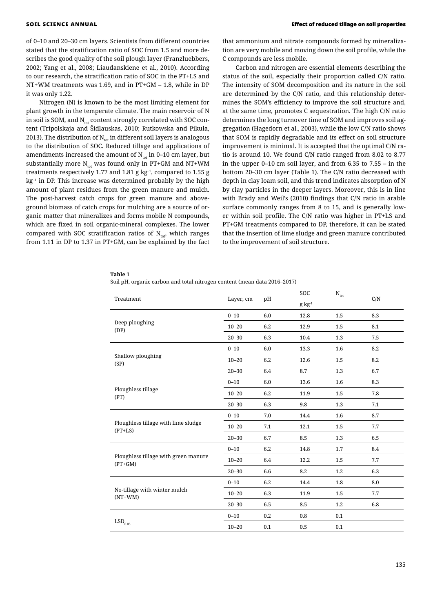of 0–10 and 20–30 cm layers. Scientists from different countries stated that the stratification ratio of SOC from 1.5 and more describes the good quality of the soil plough layer (Franzluebbers, 2002; Yang et al., 2008; Liaudanskiene et al., 2010). According to our research, the stratification ratio of SOC in the PT+LS and NT+WM treatments was 1.69, and in PT+GM – 1.8, while in DP it was only 1.22.

Nitrogen (N) is known to be the most limiting element for plant growth in the temperate climate. The main reservoir of N in soil is SOM, and  $N_{tot}$  content strongly correlated with SOC content (Tripolskaja and Šidlauskas, 2010; Rutkowska and Pikuła, 2013). The distribution of  $N_{tot}$  in different soil layers is analogous to the distribution of SOC. Reduced tillage and applications of amendments increased the amount of  $N_{tot}$  in 0–10 cm layer, but substantially more  $N_{tot}$  was found only in PT+GM and NT+WM treatments respectively 1.77 and 1.81 g  $kg<sup>-1</sup>$ , compared to 1.55 g  $kg<sup>-1</sup>$  in DP. This increase was determined probably by the high amount of plant residues from the green manure and mulch. The post-harvest catch crops for green manure and aboveground biomass of catch crops for mulching are a source of organic matter that mineralizes and forms mobile N compounds, which are fixed in soil organic-mineral complexes. The lower compared with SOC stratification ratios of  $N_{tot}$ , which ranges from 1.11 in DP to 1.37 in PT+GM, can be explained by the fact

that ammonium and nitrate compounds formed by mineralization are very mobile and moving down the soil profile, while the C compounds are less mobile.

Carbon and nitrogen are essential elements describing the status of the soil, especially their proportion called C/N ratio. The intensity of SOM decomposition and its nature in the soil are determined by the C/N ratio, and this relationship determines the SOM's efficiency to improve the soil structure and, at the same time, promotes C sequestration. The high C/N ratio determines the long turnover time of SOM and improves soil aggregation (Hagedorn et al., 2003), while the low C/N ratio shows that SOM is rapidly degradable and its effect on soil structure improvement is minimal. It is accepted that the optimal C/N ratio is around 10. We found C/N ratio ranged from 8.02 to 8.77 in the upper 0–10 cm soil layer, and from 6.35 to 7.55 – in the bottom 20–30 cm layer (Table 1). The C/N ratio decreased with depth in clay loam soil, and this trend indicates absorption of N by clay particles in the deeper layers. Moreover, this is in line with Brady and Weil's (2010) findings that C/N ratio in arable surface commonly ranges from 8 to 15, and is generally lower within soil profile. The C/N ratio was higher in PT+LS and PT+GM treatments compared to DP, therefore, it can be stated that the insertion of lime sludge and green manure contributed to the improvement of soil structure.

**Table 1**

|  |  |  | Soil pH, organic carbon and total nitrogen content (mean data 2016–2017) |  |  |  |
|--|--|--|--------------------------------------------------------------------------|--|--|--|
|  |  |  |                                                                          |  |  |  |

| Treatment                                         |           |     | soc          | $N_{\rm tot}$ |     |
|---------------------------------------------------|-----------|-----|--------------|---------------|-----|
|                                                   | Layer, cm | pH  | $g\ kg^{-1}$ |               | C/N |
|                                                   | $0 - 10$  | 6.0 | 12.8         | 1.5           | 8.3 |
| Deep ploughing<br>(DP)                            | $10 - 20$ | 6.2 | 12.9         | 1.5           | 8.1 |
|                                                   | $20 - 30$ | 6.3 | 10.4         | 1.3           | 7.5 |
|                                                   | $0 - 10$  | 6.0 | 13.3         | 1.6           | 8.2 |
| Shallow ploughing<br>(SP)                         | $10 - 20$ | 6.2 | 12.6         | 1.5           | 8.2 |
|                                                   | $20 - 30$ | 6.4 | 8.7          | 1.3           | 6.7 |
|                                                   | $0 - 10$  | 6.0 | 13.6         | 1.6           | 8.3 |
| Ploughless tillage<br>(PT)                        | $10 - 20$ | 6.2 | 11.9         | 1.5           | 7.8 |
|                                                   | $20 - 30$ | 6.3 | 9.8          | 1.3           | 7.1 |
|                                                   | $0 - 10$  | 7.0 | 14.4         | 1.6           | 8.7 |
| Ploughless tillage with lime sludge<br>$(PT+LS)$  | $10 - 20$ | 7.1 | 12.1         | 1.5           | 7.7 |
|                                                   | $20 - 30$ | 6.7 | 8.5          | 1.3           | 6.5 |
|                                                   | $0 - 10$  | 6.2 | 14.8         | 1.7           | 8.4 |
| Ploughless tillage with green manure<br>$(PT+GM)$ | $10 - 20$ | 6.4 | 12.2         | 1.5           | 7.7 |
|                                                   | $20 - 30$ | 6.6 | 8.2          | 1.2           | 6.3 |
|                                                   | $0 - 10$  | 6.2 | 14.4         | 1.8           | 8.0 |
| No-tillage with winter mulch<br>$(NT+WM)$         | $10 - 20$ | 6.3 | 11.9         | 1.5           | 7.7 |
|                                                   | $20 - 30$ | 6.5 | 8.5          | 1.2           | 6.8 |
|                                                   | $0 - 10$  | 0.2 | 0.8          | 0.1           |     |
| $\mathrm{LSD}_{0.05}$                             | $10 - 20$ | 0.1 | 0.5          | 0.1           |     |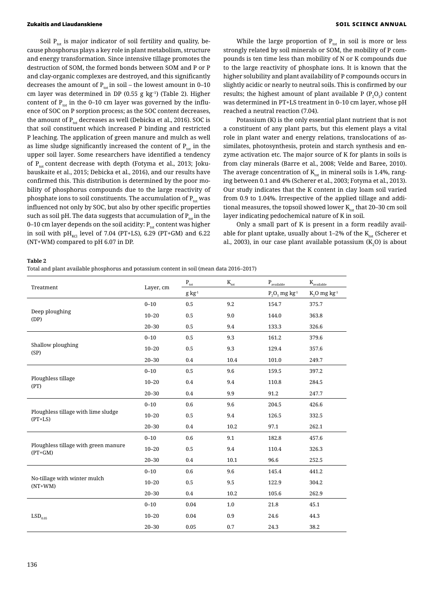## Zukaitis and Liaudanskiene SOIL SCIENCE ANNUAL

Soil  $P_{tot}$  is major indicator of soil fertility and quality, because phosphorus plays a key role in plant metabolism, structure and energy transformation. Since intensive tillage promotes the destruction of SOM, the formed bonds between SOM and P or P and clay-organic complexes are destroyed, and this significantly decreases the amount of  $P_{tot}$  in soil – the lowest amount in 0–10 cm layer was determined in DP (0.55 g kg–1) (Table 2). Higher content of  $P_{tot}$  in the 0–10 cm layer was governed by the influence of SOC on P sorption process; as the SOC content decreases, the amount of  $P_{tot}$  decreases as well (Debicka et al., 2016). SOC is that soil constituent which increased P binding and restricted P leaching. The application of green manure and mulch as well as lime sludge significantly increased the content of  $P_{tot}$  in the upper soil layer. Some researchers have identified a tendency of  $P_{tot}$  content decrease with depth (Fotyma et al., 2013; Jokubauskaite et al., 2015; Debicka et al., 2016), and our results have confirmed this. This distribution is determined by the poor mobility of phosphorus compounds due to the large reactivity of phosphate ions to soil constituents. The accumulation of  $P_{tot}$  was influenced not only by SOC, but also by other specific properties such as soil pH. The data suggests that accumulation of  $P_{tot}$  in the 0–10 cm layer depends on the soil acidity:  $P_{tot}$  content was higher in soil with  $pH_{\text{KCl}}$  level of 7.04 (PT+LS), 6.29 (PT+GM) and 6.22 (NT+WM) compared to pH 6.07 in DP.

While the large proportion of  $P_{tot}$  in soil is more or less strongly related by soil minerals or SOM, the mobility of P compounds is ten time less than mobility of N or K compounds due to the large reactivity of phosphate ions. It is known that the higher solubility and plant availability of P compounds occurs in slightly acidic or nearly to neutral soils. This is confirmed by our results; the highest amount of plant available P ( $P_2O_5$ ) content was determined in PT+LS treatment in 0–10 cm layer, whose pH reached a neutral reaction (7.04).

Potassium (K) is the only essential plant nutrient that is not a constituent of any plant parts, but this element plays a vital role in plant water and energy relations, translocations of assimilates, photosynthesis, protein and starch synthesis and enzyme activation etc. The major source of K for plants in soils is from clay minerals (Barre et al., 2008; Velde and Baree, 2010). The average concentration of  $K_{tot}$  in mineral soils is 1.4%, ranging between 0.1 and 4% (Scherer et al., 2003; Fotyma et al., 2013). Our study indicates that the K content in clay loam soil varied from 0.9 to 1.04%. Irrespective of the applied tillage and additional measures, the topsoil showed lower  $K_{tot}$  that 20–30 cm soil layer indicating pedochemical nature of K in soil.

Only a small part of K is present in a form readily available for plant uptake, usually about  $1-2\%$  of the K<sub>tot</sub> (Scherer et al., 2003), in our case plant available potassium ( $K_2$ O) is about

### **Table 2**

Total and plant available phosphorus and potassium content in soil (mean data 2016–2017)

|                                                   |           | $\mathbf{P}_{\text{tot}}$ | $K_{\rm tot}$ | $\mathbf{P}_{\text{available}}$ | $\mathbf{K}_\text{available}$ |
|---------------------------------------------------|-----------|---------------------------|---------------|---------------------------------|-------------------------------|
| Treatment                                         | Layer, cm | $g kg^{-1}$               |               | $P_2O_5$ mg kg <sup>-1</sup>    | $K_2O$ mg $kg-1$              |
|                                                   | $0 - 10$  | 0.5                       | 9.2           | 154.7                           | 375.7                         |
| Deep ploughing<br>(DP)                            | $10 - 20$ | 0.5                       | 9.0           | 144.0                           | 363.8                         |
|                                                   | $20 - 30$ | 0.5                       | 9.4           | 133.3                           | 326.6                         |
|                                                   | $0 - 10$  | 0.5                       | 9.3           | 161.2                           | 379.6                         |
| Shallow ploughing<br>(SP)                         | $10 - 20$ | 0.5                       | 9.3           | 129.4                           | 357.6                         |
|                                                   | $20 - 30$ | 0.4                       | 10.4          | 101.0                           | 249.7                         |
|                                                   | $0 - 10$  | 0.5                       | 9.6           | 159.5                           | 397.2                         |
| Ploughless tillage<br>(PT)                        | $10 - 20$ | 0.4                       | 9.4           | 110.8                           | 284.5                         |
|                                                   | $20 - 30$ | 0.4                       | 9.9           | 91.2                            | 247.7                         |
|                                                   | $0 - 10$  | 0.6                       | 9.6           | 204.5                           | 426.6                         |
| Ploughless tillage with lime sludge<br>$(PT+LS)$  | $10 - 20$ | 0.5                       | 9.4           | 126.5                           | 332.5                         |
|                                                   | $20 - 30$ | 0.4                       | 10.2          | 97.1                            | 262.1                         |
|                                                   | $0 - 10$  | 0.6                       | 9.1           | 182.8                           | 457.6                         |
| Ploughless tillage with green manure<br>$(PT+GM)$ | $10 - 20$ | 0.5                       | 9.4           | 110.4                           | 326.3                         |
|                                                   | $20 - 30$ | 0.4                       | 10.1          | 96.6                            | 252.5                         |
|                                                   | $0 - 10$  | 0.6                       | 9.6           | 145.4                           | 441.2                         |
| No-tillage with winter mulch<br>$(NT+WM)$         | $10 - 20$ | 0.5                       | 9.5           | 122.9                           | 304.2                         |
|                                                   | $20 - 30$ | $0.4\,$                   | 10.2          | 105.6                           | 262.9                         |
|                                                   | $0 - 10$  | 0.04                      | 1.0           | 21.8                            | 45.1                          |
| $\mathrm{LSD}_{_{0.05}}$                          | $10 - 20$ | 0.04                      | 0.9           | 24.6                            | 44.3                          |
|                                                   | $20 - 30$ | 0.05                      | 0.7           | 24.3                            | 38.2                          |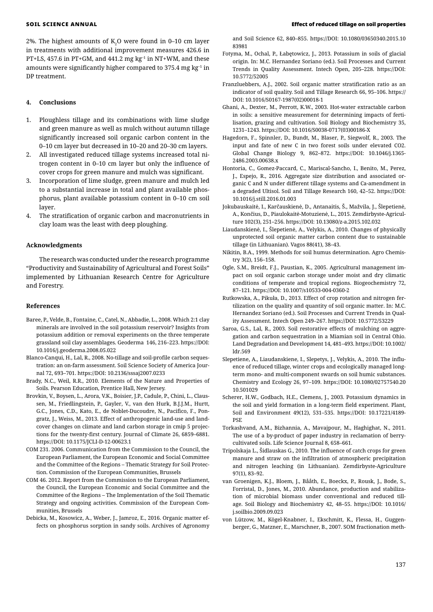2%. The highest amounts of  $\mathrm{K}_2\mathrm{O}$  were found in 0–10 cm layer in treatments with additional improvement measures 426.6 in PT+LS, 457.6 in PT+GM, and 441.2 mg kg–1 in NT+WM, and these amounts were significantly higher compared to 375.4 mg kg–1 in DP treatment.

# **4. Conclusions**

- 1. Ploughless tillage and its combinations with lime sludge and green manure as well as mulch without autumn tillage significantly increased soil organic carbon content in the 0–10 cm layer but decreased in 10–20 and 20–30 cm layers.
- 2. All investigated reduced tillage systems increased total nitrogen content in 0–10 cm layer but only the influence of cover crops for green manure and mulch was significant.
- 3. Incorporation of lime sludge, green manure and mulch led to a substantial increase in total and plant available phosphorus, plant available potassium content in 0–10 cm soil layer.
- The stratification of organic carbon and macronutrients in clay loam was the least with deep ploughing.

# **Acknowledgments**

The research was conducted under the research programme "Productivity and Sustainability of Agricultural and Forest Soils" implemented by Lithuanian Research Centre for Agriculture and Forestry.

### **References**

- Baree, P., Velde, B., Fontaine, C., Catel, N., Abbadie, L., 2008. Which 2:1 clay minerals are involved in the soil potassium reservoir? Insights from potassium addition or removal experiments on the three temperate grassland soil clay assemblages. Geoderma 146, 216–223. https://DOI: 10.1016/j.geoderma.2008.05.022
- Blanco-Canqui, H., Lal, R., 2008. No-tillage and soil-profile carbon sequestration: an on-farm assessment. Soil Science Society of America Journal 72, 693–701. https://DOI: 10.2136/sssaj2007.0233
- Brady, N.C., Weil, R.R., 2010. Elements of the Nature and Properties of Soils. Pearson Education, Prentice Hall, New Jersey.
- Brovkin, V., Boysen, L., Arora, V.K., Boisier, J.P., Cadule, P., Chini, L., Claussen, M., Friedlingstein, P., Gayler, V., van den Hurk, B.J.J.M., Hurtt, G.C., Jones, C.D., Kato, E., de Noblet-Ducoudre, N., Pacifico, F., Pongratz, J., Weiss, M., 2013. Effect of anthropogenic land-use and landcover changes on climate and land carbon storage in cmip 5 projections for the twenty-first century. Journal of Climate 26, 6859–6881. https://DOI: 10.1175/JCLI-D-12-00623.1
- COM 231. 2006. Communication from the Commission to the Council, the European Parliament, the European Economic and Social Committee and the Committee of the Regions – Thematic Strategy for Soil Protection. Commission of the European Communities, Brussels
- COM 46. 2012. Report from the Commission to the European Parliament, the Council, the European Economic and Social Committee and the Committee of the Regions – The Implementation of the Soil Thematic Strategy and ongoing activities. Commission of the European Communities, Brussels
- Debicka, M., Kosowicz, A., Weber, J., Jamroz, E., 2016. Organic matter effects on phosphorus sorption in sandy soils. Archives of Agronomy

and Soil Science 62, 840–855. https://DOI: 10.1080/03650340.2015.10 83981

- Fotyma, M., Ochal, P., Łabętowicz, J., 2013. Potassium in soils of glacial origin. In: M.C. Hernandez Soriano (ed.). Soil Processes and Current Trends in Quality Assessment. Intech Open, 205–228. https://DOI: 10.5772/52005
- Franzluebbers, A.J., 2002. Soil organic matter stratification ratio as an indicator of soil quality. Soil and Tillage Research 66, 95–106. https:// DOI: 10.1016/S0167-1987(02)00018-1
- Ghani, A., Dexter, M., Perrott, K.W., 2003. Hot-water extractable carbon in soils: a sensitive measurement for determining impacts of fertilisation, grazing and cultivation. Soil Biology and Biochemistry 35, 1231–1243. https://DOI: 10.1016/S0038-0717(03)00186-X
- Hagedorn, F., Spinnler, D., Bundt, M., Blaser, P., Siegwolf, R., 2003. The input and fate of new C in two forest soils under elevated CO2. Global Change Biology 9, 862–872. https://DOI: 10.1046/j.1365- 2486.2003.00638.x
- Hontoria, C., Gomez-Paccard, C., Mariscal-Sancho, I., Benito, M., Perez, J., Espejo, R., 2016. Aggregate size distribution and associated organic C and N under different tillage systems and Ca-amendment in a degraded Ultisol. Soil and Tillage Research 160, 42–52. https://DOI: 10.1016/j.still.2016.01.003
- Jokubauskaitė, I., Karčauskienė, D., Antanaitis, Š., Mažvila, J., Šlepetienė, A., Končius, D., Piaulokaitė-Motuzienė, L., 2015. Zemdirbyste-Agriculture 102(3), 251–256. https://DOI: 10.13080/z-a.2015.102.032
- Liaudanskienė, I., Šlepetienė, A., Velykis, A., 2010. Changes of physically unprotected soil organic matter carbon content due to sustainable tillage (in Lithuanian). Vagos 88(41), 38–43.
- Nikitin, B.A., 1999. Methods for soil humus determination. Agro Chemistry 3(2), 156–158.
- Ogle, S.M., Breidt, F.J., Paustian, K., 2005. Agricultural management impact on soil organic carbon storage under moist and dry climatic conditions of temperate and tropical regions. Biogeochemistry 72, 87–121. https://DOI: 10.1007/s10533-004-0360-2
- Rutkowska, A., Pikuła, D., 2013. Effect of crop rotation and nitrogen fertilization on the quality and quantity of soil organic matter. In: M.C. Hernandez Soriano (ed.). Soil Processes and Current Trends in Quality Assessment. Intech Open 249–267. https://DOI: 10.5772/53229
- Saroa, G.S., Lal, R., 2003. Soil restorative effects of mulching on aggregation and carbon sequestration in a Miamian soil in Central Ohio. Land Degradation and Development 14, 481–493. https://DOI: 10.1002/ ldr.569
- Slepetiene, A., Liaudanskiene, I., Slepetys, J., Velykis, A., 2010. The influence of reduced tillage, winter crops and ecologically managed longterm mono- and multi-component swards on soil humic substances. Chemistry and Ecology 26, 97–109. https://DOI: 10.1080/02757540.20 10.501029
- Scherer, H.W., Godbach, H.E., Clemens, J., 2003. Potassium dynamics in the soil and yield formation in a long-term field experiment. Plant, Soil and Environment 49(12), 531–535. https://DOI: 10.17221/4189- PSE
- Torkashvand, A.M., Bizhannia, A., Mavajpour, M., Haghighat, N., 2011. The use of a by-product of paper industry in reclamation of berrycultivated soils. Life Science Journal 8, 658–661.
- Tripolskaja L., Šidlauskas G., 2010. The influence of catch crops for green manure and straw on the infiltration of atmospheric precipitation and nitrogen leaching (in Lithuanian). Zemdirbyste-Agriculture 97(1), 83–92.
- van Groenigen, K.J., Bloem, J., Bååth, E., Boeckx, P., Rousk, J., Bode, S., Forristal, D., Jones, M., 2010. Abundance, production and stabilization of microbial biomass under conventional and reduced tillage. Soil Biology and Biochemistry 42, 48–55. https://DOI: 10.1016/ j.soilbio.2009.09.023
- von Lützow, M., Kögel-Knabner, I., Ekschmitt, K., Flessa, H., Guggenberger, G., Matzner, E., Marschner, B., 2007. SOM fractionation meth-